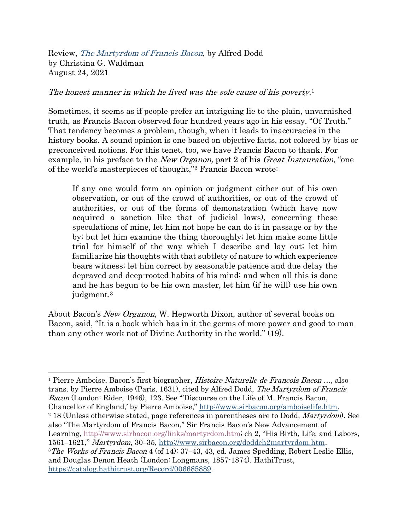Review, [The Martyrdom of Francis Bacon](http://www.sirbacon.org/links/martyrdom.htm), by Alfred Dodd by Christina G. Waldman August 24, 2021

## The honest manner in which he lived was the sole cause of his poverty.<sup>1</sup>

Sometimes, it seems as if people prefer an intriguing lie to the plain, unvarnished truth, as Francis Bacon observed four hundred years ago in his essay, "Of Truth." That tendency becomes a problem, though, when it leads to inaccuracies in the history books. A sound opinion is one based on objective facts, not colored by bias or preconceived notions. For this tenet, too, we have Francis Bacon to thank. For example, in his preface to the *New Organon*, part 2 of his *Great Instauration*, "one of the world's masterpieces of thought,"<sup>2</sup> Francis Bacon wrote:

If any one would form an opinion or judgment either out of his own observation, or out of the crowd of authorities, or out of the crowd of authorities, or out of the forms of demonstration (which have now acquired a sanction like that of judicial laws), concerning these speculations of mine, let him not hope he can do it in passage or by the by; but let him examine the thing thoroughly; let him make some little trial for himself of the way which I describe and lay out; let him familiarize his thoughts with that subtlety of nature to which experience bears witness; let him correct by seasonable patience and due delay the depraved and deep-rooted habits of his mind; and when all this is done and he has begun to be his own master, let him (if he will) use his own judgment.<sup>3</sup>

About Bacon's New Organon, W. Hepworth Dixon, author of several books on Bacon, said, "It is a book which has in it the germs of more power and good to man than any other work not of Divine Authority in the world." (19).

<sup>1</sup> Pierre Amboise, Bacon's first biographer, Histoire Naturelle de Francois Bacon …, also trans. by Pierre Amboise (Paris, 1631), cited by Alfred Dodd, The Martyrdom of Francis Bacon (London: Rider, 1946), 123. See "'Discourse on the Life of M. Francis Bacon, Chancellor of England,' by Pierre Amboise," [http://www.sirbacon.org/amboiselife.htm.](http://www.sirbacon.org/amboiselife.htm) <sup>2</sup> 18 (Unless otherwise stated, page references in parentheses are to Dodd, *Martyrdom*). See also "The Martyrdom of Francis Bacon," Sir Francis Bacon's New Advancement of Learning, [http://www.sirbacon.org/links/martyrdom.htm;](http://www.sirbacon.org/links/martyrdom.htm) ch 2, "His Birth, Life, and Labors, 1561‒1621," Martyrdom, 30‒35, [http://www.sirbacon.org/doddch2martyrdom.htm.](http://www.sirbacon.org/doddch2martyrdom.htm) <sup>3</sup>The Works of Francis Bacon 4 (of 14): 37–43, 43, ed. James Spedding, Robert Leslie Ellis, and Douglas Denon Heath (London: Longmans, 1857-1874). HathiTrust, [https://catalog.hathitrust.org/Record/006685889.](https://catalog.hathitrust.org/Record/006685889)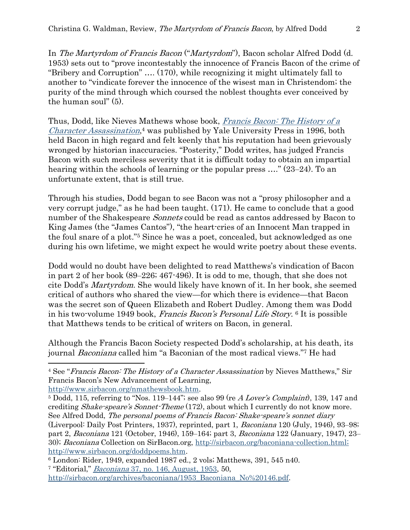In The Martyrdom of Francis Bacon ("Martyrdom"), Bacon scholar Alfred Dodd (d. 1953) sets out to "prove incontestably the innocence of Francis Bacon of the crime of "Bribery and Corruption" …. (170), while recognizing it might ultimately fall to another to "vindicate forever the innocence of the wisest man in Christendom; the purity of the mind through which coursed the noblest thoughts ever conceived by the human soul" (5).

Thus, Dodd, like Nieves Mathews whose book, [Francis Bacon: The History of a](http://www.sirbacon.org/nmathewsbook.htm)  [Character Assassination](http://www.sirbacon.org/nmathewsbook.htm), <sup>4</sup> was published by Yale University Press in 1996, both held Bacon in high regard and felt keenly that his reputation had been grievously wronged by historian inaccuracies. "Posterity," Dodd writes, has judged Francis Bacon with such merciless severity that it is difficult today to obtain an impartial hearing within the schools of learning or the popular press ...." (23–24). To an unfortunate extent, that is still true.

Through his studies, Dodd began to see Bacon was not a "prosy philosopher and a very corrupt judge," as he had been taught. (171). He came to conclude that a good number of the Shakespeare *Sonnets* could be read as cantos addressed by Bacon to King James (the "James Cantos"), "the heart-cries of an Innocent Man trapped in the foul snare of a plot." <sup>5</sup> Since he was a poet, concealed, but acknowledged as one during his own lifetime, we might expect he would write poetry about these events.

Dodd would no doubt have been delighted to read Matthews's vindication of Bacon in part 2 of her book  $(89-226; 467-496)$ . It is odd to me, though, that she does not cite Dodd's Martyrdom. She would likely have known of it. In her book, she seemed critical of authors who shared the view—for which there is evidence—that Bacon was the secret son of Queen Elizabeth and Robert Dudley. Among them was Dodd in his two-volume 1949 book, Francis Bacon's Personal Life Story. <sup>6</sup> It is possible that Matthews tends to be critical of writers on Bacon, in general.

Although the Francis Bacon Society respected Dodd's scholarship, at his death, its journal *Baconiana* called him "a Baconian of the most radical views."7 He had

<sup>&</sup>lt;sup>4</sup> See "Francis Bacon: The History of a Character Assassination by Nieves Matthews," Sir Francis Bacon's New Advancement of Learning,

[http://www.sirbacon.org/nmathewsbook.htm.](http://www.sirbacon.org/nmathewsbook.htm)

 $5$  Dodd, 115, referring to "Nos. 119-144"; see also 99 (re  $A$  Lover's Complaint), 139, 147 and crediting Shake-speare's Sonnet-Theme (172), about which I currently do not know more. See Alfred Dodd, The personal poems of Francis Bacon: Shake-speare's sonnet diary (Liverpool: Daily Post Printers, 1937), reprinted, part 1, Baconiana 120 (July, 1946), 93‒98; part 2, *Baconiana* 121 (October, 1946), 159–164; part 3, *Baconiana* 122 (January, 1947), 23– 30); Baconiana Collection on SirBacon.org, [http://sirbacon.org/baconiana-collection.html;](http://sirbacon.org/baconiana-collection.html) http://www.sirbacon.org/doddpoems.htm.

<sup>6</sup> London: Rider, 1949, expanded 1987 ed., 2 vols; Matthews, 391, 545 n40. <sup>7</sup> "Editorial," *Baconiana* [37, no. 146, August, 1953,](https://francisbaconsociety.co.uk/wp-content/uploads/2021/03/1953_Baconiana_No-146.pdf.) 50,

[http://sirbacon.org/archives/baconiana/1953\\_Baconiana\\_No%20146.pdf.](http://sirbacon.org/archives/baconiana/1953_Baconiana_No%20146.pdf)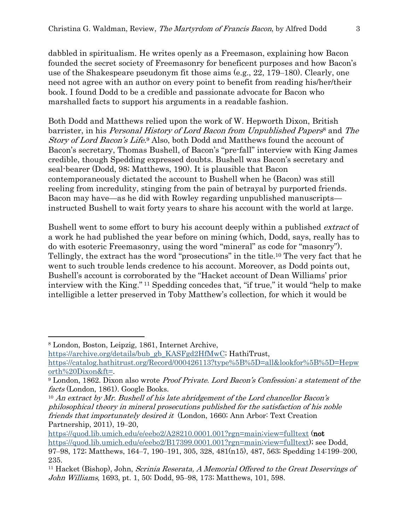dabbled in spiritualism. He writes openly as a Freemason, explaining how Bacon founded the secret society of Freemasonry for beneficent purposes and how Bacon's use of the Shakespeare pseudonym fit those aims  $(e.g., 22, 179-180)$ . Clearly, one need not agree with an author on every point to benefit from reading his/her/their book. I found Dodd to be a credible and passionate advocate for Bacon who marshalled facts to support his arguments in a readable fashion.

Both Dodd and Matthews relied upon the work of W. Hepworth Dixon, British barrister, in his Personal History of Lord Bacon from Unpublished Papers<sup>8</sup> and The Story of Lord Bacon's Life.<sup>9</sup> Also, both Dodd and Matthews found the account of Bacon's secretary, Thomas Bushell, of Bacon's "pre-fall" interview with King James credible, though Spedding expressed doubts. Bushell was Bacon's secretary and seal-bearer (Dodd, 98; Matthews, 190). It is plausible that Bacon contemporaneously dictated the account to Bushell when he (Bacon) was still reeling from incredulity, stinging from the pain of betrayal by purported friends. Bacon may have—as he did with Rowley regarding unpublished manuscripts instructed Bushell to wait forty years to share his account with the world at large.

Bushell went to some effort to bury his account deeply within a published extract of a work he had published the year before on mining (which, Dodd, says, really has to do with esoteric Freemasonry, using the word "mineral" as code for "masonry"). Tellingly, the extract has the word "prosecutions" in the title.<sup>10</sup> The very fact that he went to such trouble lends credence to his account. Moreover, as Dodd points out, Bushell's account is corroborated by the "Hacket account of Dean Williams' prior interview with the King." <sup>11</sup> Spedding concedes that, "if true," it would "help to make intelligible a letter preserved in Toby Matthew's collection, for which it would be

[https://archive.org/details/bub\\_gb\\_KASFgd2HfMwC;](https://archive.org/details/bub_gb_KASFgd2HfMwC) HathiTrust,

<sup>8</sup> London, Boston, Leipzig, 1861, Internet Archive,

[https://catalog.hathitrust.org/Record/000426113?type%5B%5D=all&lookfor%5B%5D=Hepw](https://catalog.hathitrust.org/Record/000426113?type%5B%5D=all&lookfor%5B%5D=Hepworth%20Dixon&ft=) [orth%20Dixon&ft=.](https://catalog.hathitrust.org/Record/000426113?type%5B%5D=all&lookfor%5B%5D=Hepworth%20Dixon&ft=)

<sup>9</sup> London, 1862. Dixon also wrote Proof Private. Lord Bacon's Confession; a statement of the facts (London, 1861). Google Books.

 $10$  An extract by Mr. Bushell of his late abridgement of the Lord chancellor Bacon's philosophical theory in mineral prosecutions published for the satisfaction of his noble friends that importunately desired it (London, 1660; Ann Arbor: Text Creation Partnership, 2011), 19–20,

<https://quod.lib.umich.edu/e/eebo2/A28210.0001.001?rgn=main;view=fulltext> (not [https://quod.lib.umich.edu/e/eebo2/B17399.0001.001?rgn=main;view=fulltext\)](https://quod.lib.umich.edu/e/eebo2/B17399.0001.001?rgn=main;view=fulltext); see Dodd, 97–98, 172; Matthews, 164–7, 190–191, 305, 328, 481(n15), 487, 563; Spedding 14:199–200, 235.

<sup>&</sup>lt;sup>11</sup> Hacket (Bishop), John, *Scrinia Reserata, A Memorial Offered to the Great Deservings of* John Williams, 1693, pt. 1, 50; Dodd, 95–98, 173; Matthews, 101, 598.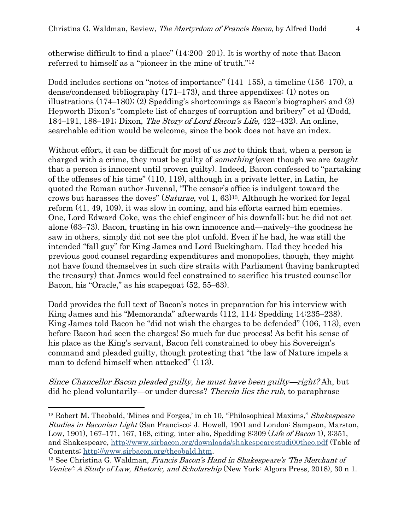otherwise difficult to find a place"  $(14:200-201)$ . It is worthy of note that Bacon referred to himself as a "pioneer in the mine of truth." 12

Dodd includes sections on "notes of importance"  $(141-155)$ , a timeline  $(156-170)$ , a dense/condensed bibliography  $(171-173)$ , and three appendixes:  $(1)$  notes on illustrations  $(174–180)$ ;  $(2)$  Spedding's shortcomings as Bacon's biographer; and  $(3)$ Hepworth Dixon's "complete list of charges of corruption and bribery" et al (Dodd, 184–191, 188–191; Dixon, *The Story of Lord Bacon's Life*, 422–432). An online, searchable edition would be welcome, since the book does not have an index.

Without effort, it can be difficult for most of us *not* to think that, when a person is charged with a crime, they must be guilty of *something* (even though we are *taught* that a person is innocent until proven guilty). Indeed, Bacon confessed to "partaking of the offenses of his time" (110, 119), although in a private letter, in Latin, he quoted the Roman author Juvenal, "The censor's office is indulgent toward the crows but harasses the doves" (Saturae, vol 1, 63) <sup>13</sup>. Although he worked for legal reform (41, 49, 109), it was slow in coming, and his efforts earned him enemies. One, Lord Edward Coke, was the chief engineer of his downfall; but he did not act alone (63–73). Bacon, trusting in his own innocence and—naively-the goodness he saw in others, simply did not see the plot unfold. Even if he had, he was still the intended "fall guy" for King James and Lord Buckingham. Had they heeded his previous good counsel regarding expenditures and monopolies, though, they might not have found themselves in such dire straits with Parliament (having bankrupted the treasury) that James would feel constrained to sacrifice his trusted counsellor Bacon, his "Oracle," as his scapegoat  $(52, 55-63)$ .

Dodd provides the full text of Bacon's notes in preparation for his interview with King James and his "Memoranda" afterwards (112, 114; Spedding 14:235–238). King James told Bacon he "did not wish the charges to be defended" (106, 113), even before Bacon had seen the charges! So much for due process! As befit his sense of his place as the King's servant, Bacon felt constrained to obey his Sovereign's command and pleaded guilty, though protesting that "the law of Nature impels a man to defend himself when attacked" (113).

Since Chancellor Bacon pleaded guilty, he must have been guilty—right? Ah, but did he plead voluntarily—or under duress? Therein lies the rub, to paraphrase

<sup>&</sup>lt;sup>12</sup> Robert M. Theobald, 'Mines and Forges,' in ch 10, "Philosophical Maxims," Shakespeare Studies in Baconian Light (San Francisco: J. Howell, 1901 and London: Sampson, Marston, Low, 1901), 167–171, 167, 168, citing, inter alia, Spedding 8:309 (*Life of Bacon* 1), 3:351, and Shakespeare,<http://www.sirbacon.org/downloads/shakespearestudi00theo.pdf> (Table of Contents; [http://www.sirbacon.org/theobald.htm.](http://www.sirbacon.org/theobald.htm)

<sup>&</sup>lt;sup>13</sup> See Christina G. Waldman, Francis Bacon's Hand in Shakespeare's 'The Merchant of Venice': A Study of Law, Rhetoric, and Scholarship (New York: Algora Press, 2018), 30 n 1.